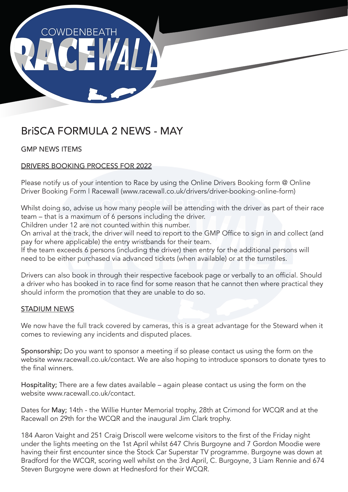

# BriSCA FORMULA 2 NEWS - MAY

# GMP NEWS ITEMS

# DRIVERS BOOKING PROCESS FOR 2022

Please notify us of your intention to Race by using the Online Drivers Booking form @ Online Driver Booking Form | Racewall (www.racewall.co.uk/drivers/driver-booking-online-form)

Whilst doing so, advise us how many people will be attending with the driver as part of their race team – that is a maximum of 6 persons including the driver.

Children under 12 are not counted within this number.

On arrival at the track, the driver will need to report to the GMP Office to sign in and collect (and pay for where applicable) the entry wristbands for their team.

If the team exceeds 6 persons (including the driver) then entry for the additional persons will need to be either purchased via advanced tickets (when available) or at the turnstiles.

Drivers can also book in through their respective facebook page or verbally to an official. Should a driver who has booked in to race find for some reason that he cannot then where practical they should inform the promotion that they are unable to do so.

## STADIUM NEWS

We now have the full track covered by cameras, this is a great advantage for the Steward when it comes to reviewing any incidents and disputed places.

Sponsorship; Do you want to sponsor a meeting if so please contact us using the form on the website www.racewall.co.uk/contact. We are also hoping to introduce sponsors to donate tyres to the final winners.

Hospitality; There are a few dates available – again please contact us using the form on the website www.racewall.co.uk/contact.

Dates for May; 14th - the Willie Hunter Memorial trophy, 28th at Crimond for WCQR and at the Racewall on 29th for the WCQR and the inaugural Jim Clark trophy.

184 Aaron Vaight and 251 Craig Driscoll were welcome visitors to the first of the Friday night under the lights meeting on the 1st April whilst 647 Chris Burgoyne and 7 Gordon Moodie were having their first encounter since the Stock Car Superstar TV programme. Burgoyne was down at Bradford for the WCQR, scoring well whilst on the 3rd April, C. Burgoyne, 3 Liam Rennie and 674 Steven Burgoyne were down at Hednesford for their WCQR.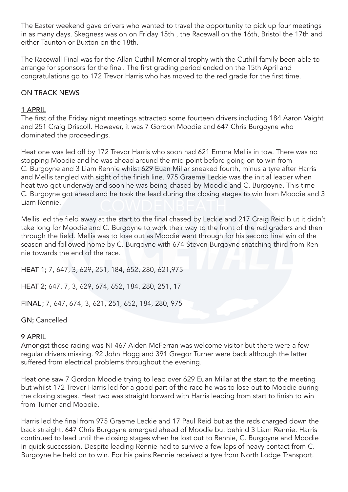The Easter weekend gave drivers who wanted to travel the opportunity to pick up four meetings in as many days. Skegness was on on Friday 15th , the Racewall on the 16th, Bristol the 17th and either Taunton or Buxton on the 18th.

The Racewall Final was for the Allan Cuthill Memorial trophy with the Cuthill family been able to arrange for sponsors for the final. The first grading period ended on the 15th April and congratulations go to 172 Trevor Harris who has moved to the red grade for the first time.

### ON TRACK NEWS

#### 1 APRIL

The first of the Friday night meetings attracted some fourteen drivers including 184 Aaron Vaight and 251 Craig Driscoll. However, it was 7 Gordon Moodie and 647 Chris Burgoyne who dominated the proceedings.

Heat one was led off by 172 Trevor Harris who soon had 621 Emma Mellis in tow. There was no stopping Moodie and he was ahead around the mid point before going on to win from C. Burgoyne and 3 Liam Rennie whilst 629 Euan Millar sneaked fourth, minus a tyre after Harris and Mellis tangled with sight of the finish line. 975 Graeme Leckie was the initial leader when heat two got underway and soon he was being chased by Moodie and C. Burgoyne. This time C. Burgoyne got ahead and he took the lead during the closing stages to win from Moodie and 3 Liam Rennie.

Mellis led the field away at the start to the final chased by Leckie and 217 Craig Reid b ut it didn't take long for Moodie and C. Burgoyne to work their way to the front of the red graders and then through the field. Mellis was to lose out as Moodie went through for his second final win of the season and followed home by C. Burgoyne with 674 Steven Burgoyne snatching third from Rennie towards the end of the race.

HEAT 1; 7, 647, 3, 629, 251, 184, 652, 280, 621,975 HEAT 2; 647, 7, 3, 629, 674, 652, 184, 280, 251, 17 FINAL; 7, 647, 674, 3, 621, 251, 652, 184, 280, 975

GN; Cancelled

#### 9 APRIL

Amongst those racing was NI 467 Aiden McFerran was welcome visitor but there were a few regular drivers missing. 92 John Hogg and 391 Gregor Turner were back although the latter suffered from electrical problems throughout the evening.

Heat one saw 7 Gordon Moodie trying to leap over 629 Euan Millar at the start to the meeting but whilst 172 Trevor Harris led for a good part of the race he was to lose out to Moodie during the closing stages. Heat two was straight forward with Harris leading from start to finish to win from Turner and Moodie.

Harris led the final from 975 Graeme Leckie and 17 Paul Reid but as the reds charged down the back straight, 647 Chris Burgoyne emerged ahead of Moodie but behind 3 Liam Rennie. Harris continued to lead until the closing stages when he lost out to Rennie, C. Burgoyne and Moodie in quick succession. Despite leading Rennie had to survive a few laps of heavy contact from C. Burgoyne he held on to win. For his pains Rennie received a tyre from North Lodge Transport.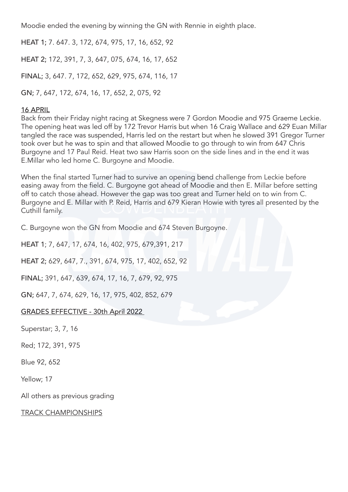Moodie ended the evening by winning the GN with Rennie in eighth place.

HEAT 1; 7. 647. 3, 172, 674, 975, 17, 16, 652, 92 HEAT 2; 172, 391, 7, 3, 647, 075, 674, 16, 17, 652 FINAL; 3, 647. 7, 172, 652, 629, 975, 674, 116, 17

GN; 7, 647, 172, 674, 16, 17, 652, 2, 075, 92

### 16 APRIL

Back from their Friday night racing at Skegness were 7 Gordon Moodie and 975 Graeme Leckie. The opening heat was led off by 172 Trevor Harris but when 16 Craig Wallace and 629 Euan Millar tangled the race was suspended, Harris led on the restart but when he slowed 391 Gregor Turner took over but he was to spin and that allowed Moodie to go through to win from 647 Chris Burgoyne and 17 Paul Reid. Heat two saw Harris soon on the side lines and in the end it was E.Millar who led home C. Burgoyne and Moodie.

When the final started Turner had to survive an opening bend challenge from Leckie before easing away from the field. C. Burgoyne got ahead of Moodie and then E. Millar before setting off to catch those ahead. However the gap was too great and Turner held on to win from C. Burgoyne and E. Millar with P. Reid, Harris and 679 Kieran Howie with tyres all presented by the Cuthill family.

C. Burgoyne won the GN from Moodie and 674 Steven Burgoyne.

HEAT 1; 7, 647, 17, 674, 16, 402, 975, 679,391, 217

HEAT 2; 629, 647, 7., 391, 674, 975, 17, 402, 652, 92

FINAL; 391, 647, 639, 674, 17, 16, 7, 679, 92, 975

GN; 647, 7, 674, 629, 16, 17, 975, 402, 852, 679

## GRADES EFFECTIVE - 30th April 2022

Superstar; 3, 7, 16

Red; 172, 391, 975

Blue 92, 652

Yellow; 17

All others as previous grading

#### TRACK CHAMPIONSHIPS